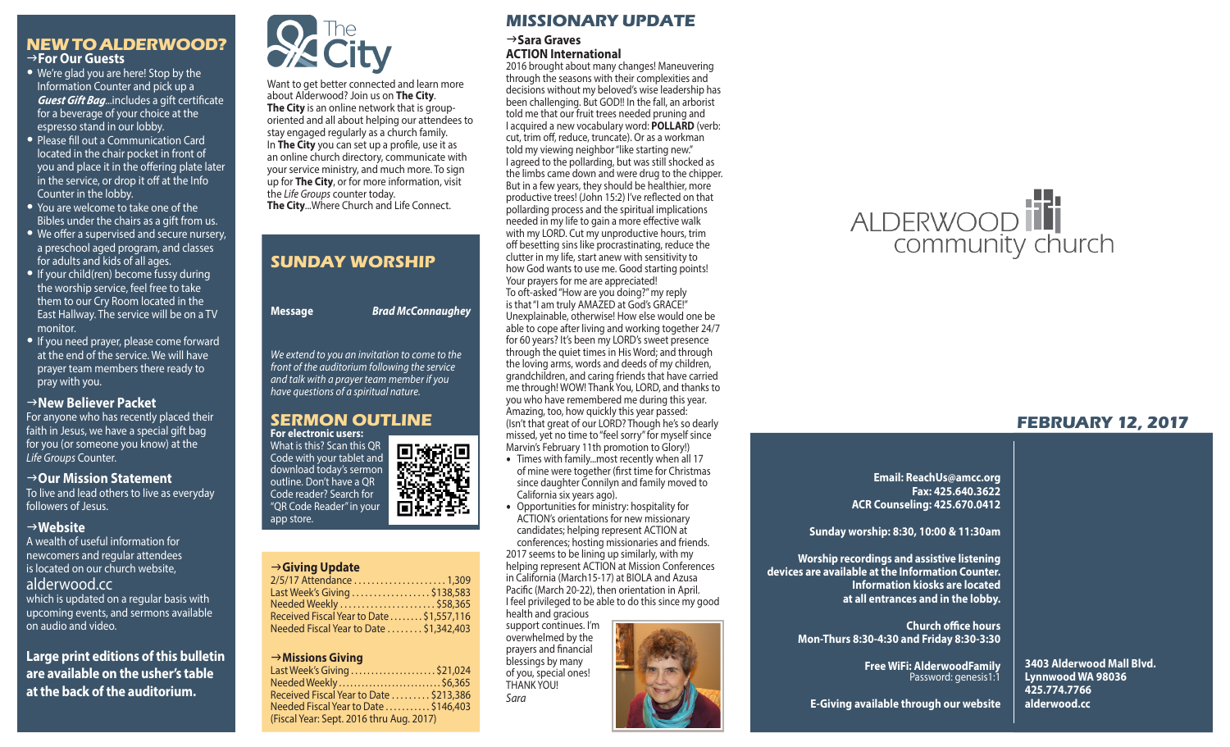### **NEW TO ALDERWOOD?** g**For Our Guests**

- We're glad you are here! Stop by the Information Counter and pick up a *Guest Gift Bag*...includes a gift certificate for a beverage of your choice at the espresso stand in our lobby.
- Please fill out a Communication Card located in the chair pocket in front of you and place it in the offering plate later in the service, or drop it off at the Info Counter in the lobby.
- You are welcome to take one of the Bibles under the chairs as a gift from us.
- We offer a supervised and secure nursery, a preschool aged program, and classes for adults and kids of all ages.
- If your child(ren) become fussy during the worship service, feel free to take them to our Cry Room located in the East Hallway. The service will be on a TV monitor.
- If you need prayer, please come forward at the end of the service. We will have prayer team members there ready to pray with you.

### **New Believer Packet**

For anyone who has recently placed their faith in Jesus, we have a special gift bag for you (or someone you know) at the *Life Groups* Counter.

#### → Our Mission Statement

To live and lead others to live as everyday followers of Jesus.

### g**Website**

A wealth of useful information for newcomers and regular attendees is located on our church website, alderwood.cc which is updated on a regular basis with upcoming events, and sermons available on audio and video.

**Large print editions of this bulletin are available on the usher's table at the back of the auditorium.**



Want to get better connected and learn more about Alderwood? Join us on **The City**. **The City** is an online network that is grouporiented and all about helping our attendees to stay engaged regularly as a church family. In **The City** you can set up a profile, use it as an online church directory, communicate with your service ministry, and much more. To sign up for **The City**, or for more information, visit the *Life Groups* counter today. **The City**...Where Church and Life Connect.

# **SUNDAY WORSHIP Message** *Brad McConnaughey We extend to you an invitation to come to the front of the auditorium following the service and talk with a prayer team member if you have questions of a spiritual nature.*



### g**Giving Update**

app store.

| 2/5/17 Attendance  1,309                  |
|-------------------------------------------|
| Last Week's Giving \$138,583              |
| Needed Weekly \$58,365                    |
| Received Fiscal Year to Date  \$1,557,116 |
| Needed Fiscal Year to Date  \$1,342,403   |
|                                           |

### g**Missions Giving**

| Last Week's Giving \$21,024             |
|-----------------------------------------|
| Needed Weekly  \$6,365                  |
| Received Fiscal Year to Date  \$213,386 |
| Needed Fiscal Year to Date  \$146,403   |
|                                         |
|                                         |
|                                         |

### **MISSIONARY UPDATE**

 $→$ **Sara Graves ACTION International**

2016 brought about many changes! Maneuvering through the seasons with their complexities and decisions without my beloved's wise leadership has been challenging. But GOD!! In the fall, an arborist told me that our fruit trees needed pruning and I acquired a new vocabulary word: **POLLARD** (verb: cut, trim off, reduce, truncate). Or as a workman told my viewing neighbor "like starting new." I agreed to the pollarding, but was still shocked as the limbs came down and were drug to the chipper. But in a few years, they should be healthier, more productive trees! (John 15:2) I've reflected on that pollarding process and the spiritual implications needed in my life to gain a more effective walk with my LORD. Cut my unproductive hours, trim off besetting sins like procrastinating, reduce the clutter in my life, start anew with sensitivity to how God wants to use me. Good starting points! Your prayers for me are appreciated! To oft-asked "How are you doing?" my reply is that "I am truly AMAZED at God's GRACE!" Unexplainable, otherwise! How else would one be able to cope after living and working together 24/7 for 60 years? It's been my LORD's sweet presence through the quiet times in His Word; and through the loving arms, words and deeds of my children, grandchildren, and caring friends that have carried me through! WOW! Thank You, LORD, and thanks to you who have remembered me during this year. Amazing, too, how quickly this year passed: (Isn't that great of our LORD? Though he's so dearly missed, yet no time to "feel sorry" for myself since Marvin's February 11th promotion to Glory!)

- Times with family...most recently when all 17 of mine were together (first time for Christmas since daughter Connilyn and family moved to California six years ago).
- Opportunities for ministry: hospitality for ACTION's orientations for new missionary candidates; helping represent ACTION at conferences; hosting missionaries and friends. 2017 seems to be lining up similarly, with my helping represent ACTION at Mission Conferences in California (March15-17) at BIOLA and Azusa Pacific (March 20-22), then orientation in April. I feel privileged to be able to do this since my good health and gracious

support continues. I'm overwhelmed by the prayers and financial blessings by many of you, special ones! THANK YOU! *Sara*





### **FEBRUARY 12, 2017**

**Email: ReachUs@amcc.org Fax: 425.640.3622 ACR Counseling: 425.670.0412**

**Sunday worship: 8:30, 10:00 & 11:30am**

**Worship recordings and assistive listening devices are available at the Information Counter. at all entrances and in the lobby.**

> **Church office hours Mon-Thurs 8:30-4:30 and Friday 8:30-3:30**

> > **Free WiFi: AlderwoodFamily**  Password: genesis1:1

**3403 Alderwood Mall Blvd. Lynnwood WA 98036 425.774.7766 alderwood.cc** 

**E-Giving available through our website**



**Information kiosks are located**